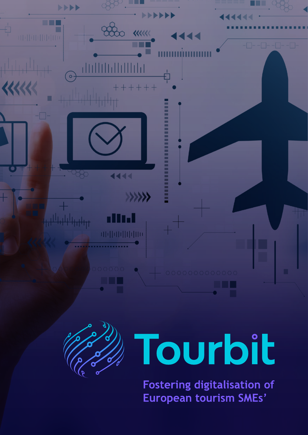



## **Tourbit**

Fostering digitalisation of European tourism SMEs'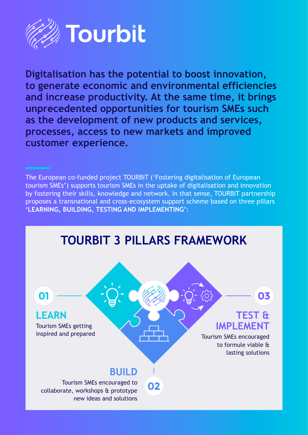

**Digitalisation has the potential to boost innovation, to generate economic and environmental efficiencies and increase productivity. At the same time, it brings unprecedented opportunities for tourism SMEs such as the development of new products and services, processes, access to new markets and improved customer experience.** 

The European co-funded project TOURBIT ('Fostering digitalisation of European tourism SMEs') supports tourism SMEs in the uptake of digitalisation and innovation by fostering their skills, knowledge and network. In that sense, TOURBIT partnership proposes a transnational and cross-ecosystem support scheme based on three pillars **'LEARNING, BUILDING, TESTING AND IMPLEMENTING'**:

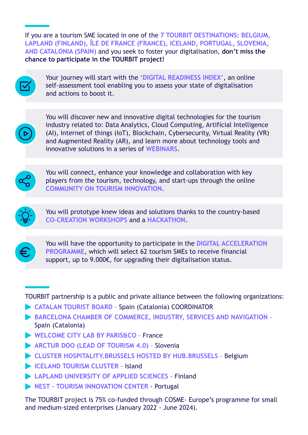If you are a tourism SME located in one of the **7 TOURBIT DESTINATIONS: BELGIUM, LAPLAND (FINLAND), ÎLE DE FRANCE (FRANCE), ICELAND, PORTUGAL, SLOVENIA, AND CATALONIA (SPAIN)** and you seek to foster your digitalisation, **don't miss the chance to participate in the TOURBIT project!**



Your journey will start with the **'DIGITAL READINESS INDEX'**, an online self-assessment tool enabling you to assess your state of digitalisation and actions to boost it.



You will discover new and innovative digital technologies for the tourism industry related to: Data Analytics, Cloud Computing, Artificial Intelligence (AI), Internet of things (IoT), Blockchain, Cybersecurity, Virtual Reality (VR) and Augmented Reality (AR), and learn more about technology tools and innovative solutions in a series of **WEBINARS**.



You will connect, enhance your knowledge and collaboration with key players from the tourism, technology, and start-ups through the online **COMMUNITY ON TOURISM INNOVATION**.



You will prototype knew ideas and solutions thanks to the country-based **CO-CREATION WORKSHOPS** and a **HACKATHON**.



You will have the opportunity to participate in the **DIGITAL ACCELERATION PROGRAMME**, which will select 62 tourism SMEs to receive financial support, up to 9.000€, for upgrading their digitalisation status.

TOURBIT partnership is a public and private alliance between the following organizations:

- **CATALAN TOURIST BOARD** [Spain \(Catalonia\) COORDINATOR](http://act.gencat.cat/?lang=en)
- **[BARCELONA CHAMBER OF COMMERCE, INDUSTRY, SERVICES AND NAVIGATION](https://www.cambrabcn.org/es/web/guest/inicio)**  Spain (Catalonia)
- [WELCOME CITY LAB BY PARIS&CO](https://welcomecitylab.parisandco.com/) France
- **[ARCTUR DOO \(LEAD OF TOURISM 4.0\)](https://www.arctur.si/)** Slovenia
- **[CLUSTER HOSPITALITY.BRUSSELS HOSTED BY HUB.BRUSSELS](https://hub.brussels/en/abae-brussels-business-support-agency/)** Belgium
- **[ICELAND TOURISM CLUSTER](http://www.icelandtourism.is/en/home/) Island**
- **[LAPLAND UNIVERSITY OF APPLIED SCIENCES](https://www.lapinamk.fi/en)** Finland
- **NEST TOURISM INNOVATION CENTER Portugal**

The TOURBIT project is 75% co-funded through COSME- Europe's programme for small and medium-sized enterprises (January 2022 - June 2024).